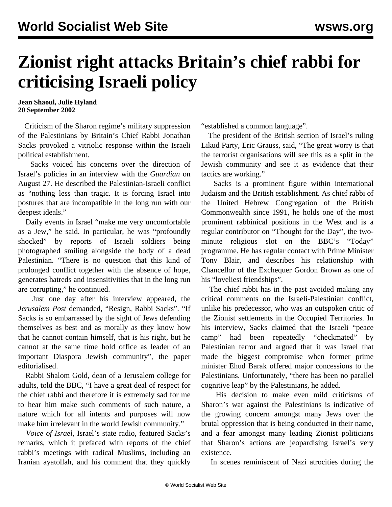## **Zionist right attacks Britain's chief rabbi for criticising Israeli policy**

**Jean Shaoul, Julie Hyland 20 September 2002**

 Criticism of the Sharon regime's military suppression of the Palestinians by Britain's Chief Rabbi Jonathan Sacks provoked a vitriolic response within the Israeli political establishment.

 Sacks voiced his concerns over the direction of Israel's policies in an interview with the *Guardian* on August 27. He described the Palestinian-Israeli conflict as "nothing less than tragic. It is forcing Israel into postures that are incompatible in the long run with our deepest ideals."

 Daily events in Israel "make me very uncomfortable as a Jew," he said. In particular, he was "profoundly shocked" by reports of Israeli soldiers being photographed smiling alongside the body of a dead Palestinian. "There is no question that this kind of prolonged conflict together with the absence of hope, generates hatreds and insensitivities that in the long run are corrupting," he continued.

 Just one day after his interview appeared, the *Jerusalem Post* demanded, "Resign, Rabbi Sacks". "If Sacks is so embarrassed by the sight of Jews defending themselves as best and as morally as they know how that he cannot contain himself, that is his right, but he cannot at the same time hold office as leader of an important Diaspora Jewish community", the paper editorialised.

 Rabbi Shalom Gold, dean of a Jerusalem college for adults, told the BBC, "I have a great deal of respect for the chief rabbi and therefore it is extremely sad for me to hear him make such comments of such nature, a nature which for all intents and purposes will now make him irrelevant in the world Jewish community."

 *Voice of Israel*, Israel's state radio, featured Sacks's remarks, which it prefaced with reports of the chief rabbi's meetings with radical Muslims, including an Iranian ayatollah, and his comment that they quickly "established a common language".

 The president of the British section of Israel's ruling Likud Party, Eric Grauss, said, "The great worry is that the terrorist organisations will see this as a split in the Jewish community and see it as evidence that their tactics are working."

 Sacks is a prominent figure within international Judaism and the British establishment. As chief rabbi of the United Hebrew Congregation of the British Commonwealth since 1991, he holds one of the most prominent rabbinical positions in the West and is a regular contributor on "Thought for the Day", the twominute religious slot on the BBC's "Today" programme. He has regular contact with Prime Minister Tony Blair, and describes his relationship with Chancellor of the Exchequer Gordon Brown as one of his "loveliest friendships".

 The chief rabbi has in the past avoided making any critical comments on the Israeli-Palestinian conflict, unlike his predecessor, who was an outspoken critic of the Zionist settlements in the Occupied Territories. In his interview, Sacks claimed that the Israeli "peace camp" had been repeatedly "checkmated" by Palestinian terror and argued that it was Israel that made the biggest compromise when former prime minister Ehud Barak offered major concessions to the Palestinians. Unfortunately, "there has been no parallel cognitive leap" by the Palestinians, he added.

 His decision to make even mild criticisms of Sharon's war against the Palestinians is indicative of the growing concern amongst many Jews over the brutal oppression that is being conducted in their name, and a fear amongst many leading Zionist politicians that Sharon's actions are jeopardising Israel's very existence.

In scenes reminiscent of Nazi atrocities during the